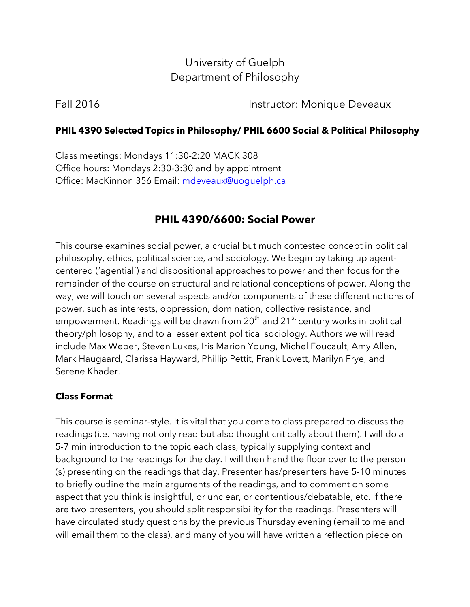# University of Guelph Department of Philosophy

Fall 2016 **Instructor: Monique Deveaux** 

## **PHIL 4390 Selected Topics in Philosophy/ PHIL 6600 Social & Political Philosophy**

Class meetings: Mondays 11:30-2:20 MACK 308 Office hours: Mondays 2:30-3:30 and by appointment Office: MacKinnon 356 Email: mdeveaux@uoguelph.ca

# **PHIL 4390/6600: Social Power**

This course examines social power, a crucial but much contested concept in political philosophy, ethics, political science, and sociology. We begin by taking up agentcentered ('agential') and dispositional approaches to power and then focus for the remainder of the course on structural and relational conceptions of power. Along the way, we will touch on several aspects and/or components of these different notions of power, such as interests, oppression, domination, collective resistance, and empowerment. Readings will be drawn from  $20<sup>th</sup>$  and  $21<sup>st</sup>$  century works in political theory/philosophy, and to a lesser extent political sociology. Authors we will read include Max Weber, Steven Lukes, Iris Marion Young, Michel Foucault, Amy Allen, Mark Haugaard, Clarissa Hayward, Phillip Pettit, Frank Lovett, Marilyn Frye, and Serene Khader.

## **Class Format**

This course is seminar-style. It is vital that you come to class prepared to discuss the readings (i.e. having not only read but also thought critically about them). I will do a 5-7 min introduction to the topic each class, typically supplying context and background to the readings for the day. I will then hand the floor over to the person (s) presenting on the readings that day. Presenter has/presenters have 5-10 minutes to briefly outline the main arguments of the readings, and to comment on some aspect that you think is insightful, or unclear, or contentious/debatable, etc. If there are two presenters, you should split responsibility for the readings. Presenters will have circulated study questions by the previous Thursday evening (email to me and I will email them to the class), and many of you will have written a reflection piece on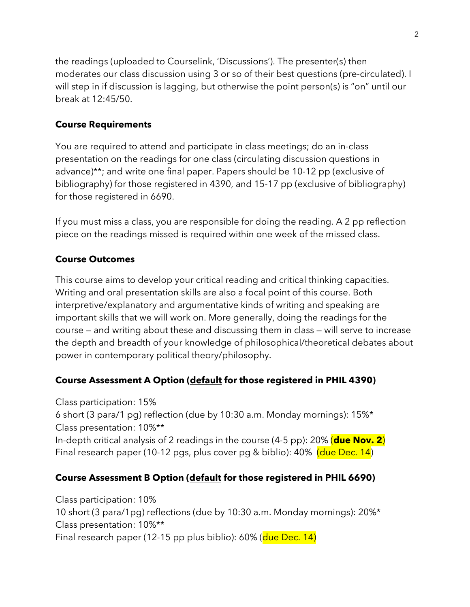the readings (uploaded to Courselink, 'Discussions'). The presenter(s) then moderates our class discussion using 3 or so of their best questions (pre-circulated). I will step in if discussion is lagging, but otherwise the point person(s) is "on" until our break at 12:45/50.

## **Course Requirements**

You are required to attend and participate in class meetings; do an in-class presentation on the readings for one class (circulating discussion questions in advance)\*\*; and write one final paper. Papers should be 10-12 pp (exclusive of bibliography) for those registered in 4390, and 15-17 pp (exclusive of bibliography) for those registered in 6690.

If you must miss a class, you are responsible for doing the reading. A 2 pp reflection piece on the readings missed is required within one week of the missed class.

## **Course Outcomes**

This course aims to develop your critical reading and critical thinking capacities. Writing and oral presentation skills are also a focal point of this course. Both interpretive/explanatory and argumentative kinds of writing and speaking are important skills that we will work on. More generally, doing the readings for the course — and writing about these and discussing them in class — will serve to increase the depth and breadth of your knowledge of philosophical/theoretical debates about power in contemporary political theory/philosophy.

## **Course Assessment A Option (default for those registered in PHIL 4390)**

Class participation: 15% 6 short (3 para/1 pg) reflection (due by 10:30 a.m. Monday mornings): 15%\* Class presentation: 10%\*\* In-depth critical analysis of 2 readings in the course (4-5 pp): 20% (**due Nov. 2**) Final research paper (10-12 pgs, plus cover pg & biblio): 40% (due Dec. 14)

## **Course Assessment B Option (default for those registered in PHIL 6690)**

Class participation: 10% 10 short (3 para/1pg) reflections (due by 10:30 a.m. Monday mornings): 20%\* Class presentation: 10%\*\* Final research paper (12-15 pp plus biblio): 60% (due Dec. 14)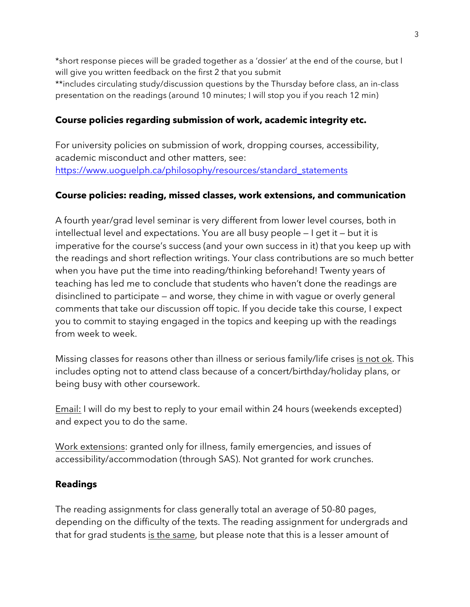\*short response pieces will be graded together as a 'dossier' at the end of the course, but I will give you written feedback on the first 2 that you submit \*\*includes circulating study/discussion questions by the Thursday before class, an in-class presentation on the readings (around 10 minutes; I will stop you if you reach 12 min)

## **Course policies regarding submission of work, academic integrity etc.**

For university policies on submission of work, dropping courses, accessibility, academic misconduct and other matters, see: https://www.uoquelph.ca/philosophy/resources/standard\_statements

### **Course policies: reading, missed classes, work extensions, and communication**

A fourth year/grad level seminar is very different from lower level courses, both in intellectual level and expectations. You are all busy people — I get it — but it is imperative for the course's success (and your own success in it) that you keep up with the readings and short reflection writings. Your class contributions are so much better when you have put the time into reading/thinking beforehand! Twenty years of teaching has led me to conclude that students who haven't done the readings are disinclined to participate — and worse, they chime in with vague or overly general comments that take our discussion off topic. If you decide take this course, I expect you to commit to staying engaged in the topics and keeping up with the readings from week to week.

Missing classes for reasons other than illness or serious family/life crises is not ok. This includes opting not to attend class because of a concert/birthday/holiday plans, or being busy with other coursework.

Email: I will do my best to reply to your email within 24 hours (weekends excepted) and expect you to do the same.

Work extensions: granted only for illness, family emergencies, and issues of accessibility/accommodation (through SAS). Not granted for work crunches.

### **Readings**

The reading assignments for class generally total an average of 50-80 pages, depending on the difficulty of the texts. The reading assignment for undergrads and that for grad students is the same, but please note that this is a lesser amount of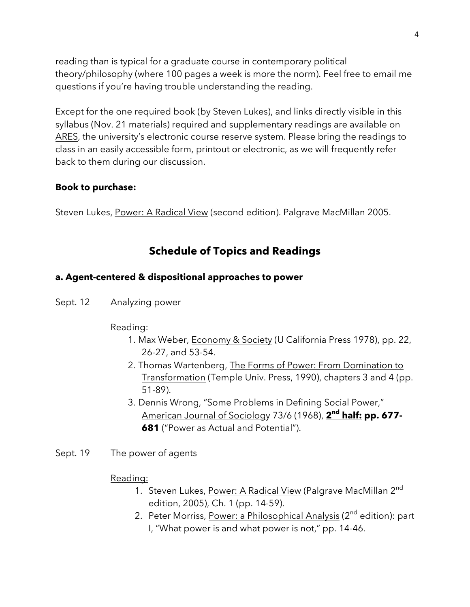reading than is typical for a graduate course in contemporary political theory/philosophy (where 100 pages a week is more the norm). Feel free to email me questions if you're having trouble understanding the reading.

Except for the one required book (by Steven Lukes), and links directly visible in this syllabus (Nov. 21 materials) required and supplementary readings are available on ARES, the university's electronic course reserve system. Please bring the readings to class in an easily accessible form, printout or electronic, as we will frequently refer back to them during our discussion.

#### **Book to purchase:**

Steven Lukes, Power: A Radical View (second edition). Palgrave MacMillan 2005.

## **Schedule of Topics and Readings**

#### **a. Agent-centered & dispositional approaches to power**

Sept. 12 Analyzing power

#### Reading:

- 1. Max Weber, **Economy & Society (U California Press 1978**), pp. 22, 26-27, and 53-54.
- 2. Thomas Wartenberg, The Forms of Power: From Domination to Transformation (Temple Univ. Press, 1990), chapters 3 and 4 (pp. 51-89).
- 3. Dennis Wrong, "Some Problems in Defining Social Power," American Journal of Sociology 73/6 (1968), **2nd half: pp. 677- 681** ("Power as Actual and Potential").
- Sept. 19 The power of agents

#### Reading:

- 1. Steven Lukes, Power: A Radical View (Palgrave MacMillan 2<sup>nd</sup> edition, 2005), Ch. 1 (pp. 14-59).
- 2. Peter Morriss, Power: a Philosophical Analysis (2<sup>nd</sup> edition): part I, "What power is and what power is not," pp. 14-46.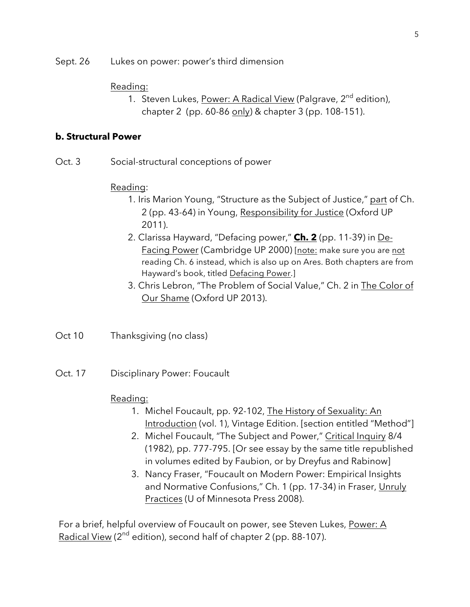Sept. 26 Lukes on power: power's third dimension

#### Reading:

1. Steven Lukes, Power: A Radical View (Palgrave, 2<sup>nd</sup> edition), chapter 2 (pp. 60-86 only) & chapter 3 (pp. 108-151).

#### **b. Structural Power**

Oct. 3 Social-structural conceptions of power

#### Reading:

- 1. Iris Marion Young, "Structure as the Subject of Justice," part of Ch. 2 (pp. 43-64) in Young, Responsibility for Justice (Oxford UP 2011).
- 2. Clarissa Hayward, "Defacing power," **Ch. 2** (pp. 11-39) in De-Facing Power (Cambridge UP 2000) [note: make sure you are not reading Ch. 6 instead, which is also up on Ares. Both chapters are from Hayward's book, titled Defacing Power.]
- 3. Chris Lebron, "The Problem of Social Value," Ch. 2 in The Color of Our Shame (Oxford UP 2013).
- Oct 10 Thanksgiving (no class)
- Oct. 17 Disciplinary Power: Foucault

#### Reading:

- 1. Michel Foucault, pp. 92-102, The History of Sexuality: An Introduction (vol. 1), Vintage Edition. [section entitled "Method"]
- 2. Michel Foucault, "The Subject and Power," Critical Inquiry 8/4 (1982), pp. 777-795. [Or see essay by the same title republished in volumes edited by Faubion, or by Dreyfus and Rabinow]
- 3. Nancy Fraser, "Foucault on Modern Power: Empirical Insights and Normative Confusions," Ch. 1 (pp. 17-34) in Fraser, Unruly Practices (U of Minnesota Press 2008).

For a brief, helpful overview of Foucault on power, see Steven Lukes, Power: A Radical View ( $2^{nd}$  edition), second half of chapter 2 (pp. 88-107).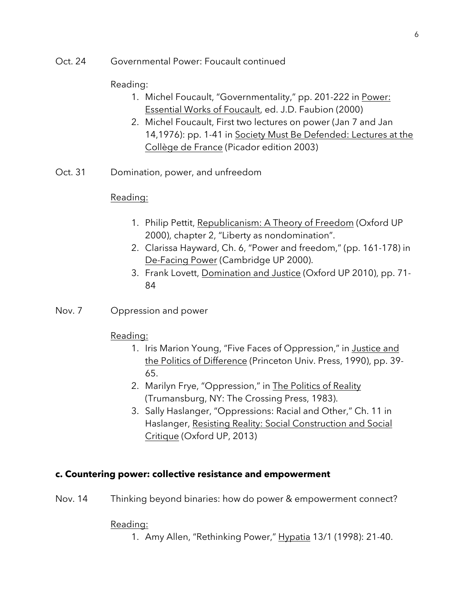Oct. 24 Governmental Power: Foucault continued

#### Reading:

- 1. Michel Foucault, "Governmentality," pp. 201-222 in Power: Essential Works of Foucault, ed. J.D. Faubion (2000)
- 2. Michel Foucault, First two lectures on power (Jan 7 and Jan 14,1976): pp. 1-41 in Society Must Be Defended: Lectures at the Collège de France (Picador edition 2003)
- Oct. 31 Domination, power, and unfreedom

#### Reading:

- 1. Philip Pettit, Republicanism: A Theory of Freedom (Oxford UP 2000), chapter 2, "Liberty as nondomination".
- 2. Clarissa Hayward, Ch. 6, "Power and freedom," (pp. 161-178) in De-Facing Power (Cambridge UP 2000).
- 3. Frank Lovett, Domination and Justice (Oxford UP 2010), pp. 71- 84
- Nov. 7 Oppression and power

#### Reading:

- 1. Iris Marion Young, "Five Faces of Oppression," in Justice and the Politics of Difference (Princeton Univ. Press, 1990), pp. 39- 65.
- 2. Marilyn Frye, "Oppression," in The Politics of Reality (Trumansburg, NY: The Crossing Press, 1983).
- 3. Sally Haslanger, "Oppressions: Racial and Other," Ch. 11 in Haslanger, Resisting Reality: Social Construction and Social Critique (Oxford UP, 2013)

#### **c. Countering power: collective resistance and empowerment**

Nov. 14 Thinking beyond binaries: how do power & empowerment connect?

#### Reading:

1. Amy Allen, "Rethinking Power," Hypatia 13/1 (1998): 21-40.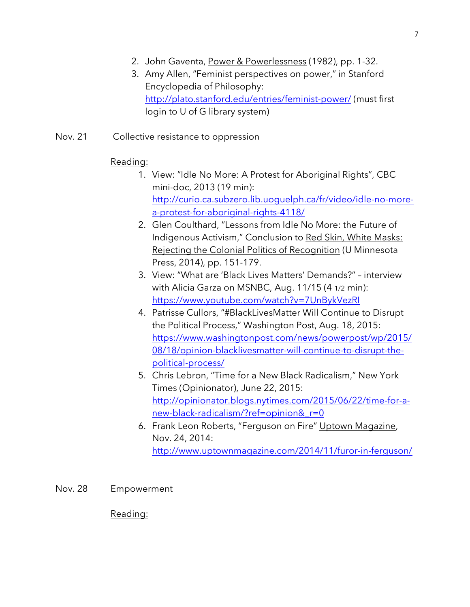- 2. John Gaventa, Power & Powerlessness (1982), pp. 1-32.
- 3. Amy Allen, "Feminist perspectives on power," in Stanford Encyclopedia of Philosophy: http://plato.stanford.edu/entries/feminist-power/ (must first login to U of G library system)
- Nov. 21 Collective resistance to oppression

### Reading:

- 1. View: "Idle No More: A Protest for Aboriginal Rights", CBC mini-doc, 2013 (19 min): http://curio.ca.subzero.lib.uoguelph.ca/fr/video/idle-no-morea-protest-for-aboriginal-rights-4118/
- 2. Glen Coulthard, "Lessons from Idle No More: the Future of Indigenous Activism," Conclusion to Red Skin, White Masks: Rejecting the Colonial Politics of Recognition (U Minnesota Press, 2014), pp. 151-179.
- 3. View: "What are 'Black Lives Matters' Demands?" interview with Alicia Garza on MSNBC, Aug. 11/15 (4 1/2 min): https://www.youtube.com/watch?v=7UnBykVezRI
- 4. Patrisse Cullors, "#BlackLivesMatter Will Continue to Disrupt the Political Process," Washington Post, Aug. 18, 2015: https://www.washingtonpost.com/news/powerpost/wp/2015/ 08/18/opinion-blacklivesmatter-will-continue-to-disrupt-thepolitical-process/
- 5. Chris Lebron, "Time for a New Black Radicalism," New York Times (Opinionator), June 22, 2015: http://opinionator.blogs.nytimes.com/2015/06/22/time-for-anew-black-radicalism/?ref=opinion&\_r=0
- 6. Frank Leon Roberts, "Ferguson on Fire" Uptown Magazine, Nov. 24, 2014: http://www.uptownmagazine.com/2014/11/furor-in-ferguson/
- Nov. 28 Empowerment

Reading: